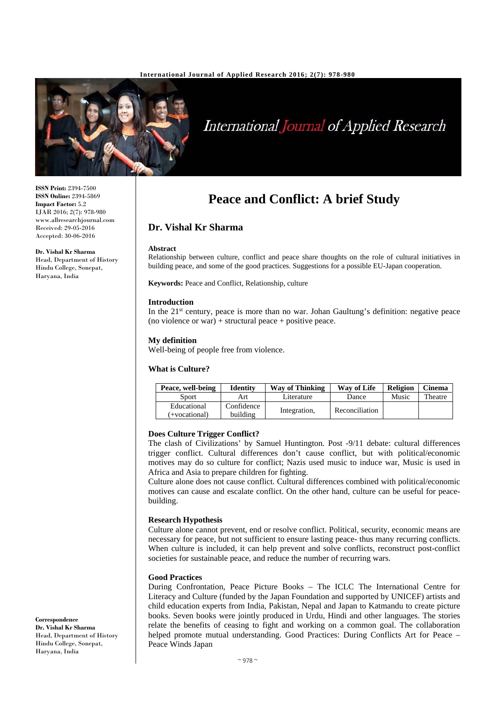

# International Journal of Applied Research

**ISSN Print:** 2394-7500 **ISSN Online:** 2394-5869 **Impact Factor:** 5.2 IJAR 2016; 2(7): 978-980 www.allresearchjournal.com Received: 29-05-2016 Accepted: 30-06-2016

**Dr. Vishal Kr Sharma**  Head, Department of History Hindu College, Sonepat, Haryana, India

# **Peace and Conflict: A brief Study**

# **Dr. Vishal Kr Sharma**

#### **Abstract**

Relationship between culture, conflict and peace share thoughts on the role of cultural initiatives in building peace, and some of the good practices. Suggestions for a possible EU-Japan cooperation.

**Keywords:** Peace and Conflict, Relationship, culture

#### **Introduction**

In the  $21<sup>st</sup>$  century, peace is more than no war. Johan Gaultung's definition: negative peace (no violence or war) + structural peace + positive peace.

#### **My definition**

Well-being of people free from violence.

#### **What is Culture?**

| Peace, well-being            | Identity               | <b>Way of Thinking</b> | Way of Life    | <b>Religion</b> | <b>Cinema</b> |
|------------------------------|------------------------|------------------------|----------------|-----------------|---------------|
| Sport                        | Art                    | Literature             | Dance          | Music           | Theatre       |
| Educational<br>(+vocational) | Confidence<br>building | Integration,           | Reconciliation |                 |               |

#### **Does Culture Trigger Conflict?**

The clash of Civilizations' by Samuel Huntington. Post -9/11 debate: cultural differences trigger conflict. Cultural differences don't cause conflict, but with political/economic motives may do so culture for conflict; Nazis used music to induce war, Music is used in Africa and Asia to prepare children for fighting.

Culture alone does not cause conflict. Cultural differences combined with political/economic motives can cause and escalate conflict. On the other hand, culture can be useful for peacebuilding.

#### **Research Hypothesis**

Culture alone cannot prevent, end or resolve conflict. Political, security, economic means are necessary for peace, but not sufficient to ensure lasting peace- thus many recurring conflicts. When culture is included, it can help prevent and solve conflicts, reconstruct post-conflict societies for sustainable peace, and reduce the number of recurring wars.

#### **Good Practices**

During Confrontation, Peace Picture Books – The ICLC The International Centre for Literacy and Culture (funded by the Japan Foundation and supported by UNICEF) artists and child education experts from India, Pakistan, Nepal and Japan to Katmandu to create picture books. Seven books were jointly produced in Urdu, Hindi and other languages. The stories relate the benefits of ceasing to fight and working on a common goal. The collaboration helped promote mutual understanding. Good Practices: During Conflicts Art for Peace – Peace Winds Japan

**Correspondence Dr. Vishal Kr Sharma**  Head, Department of History Hindu College, Sonepat, Haryana, India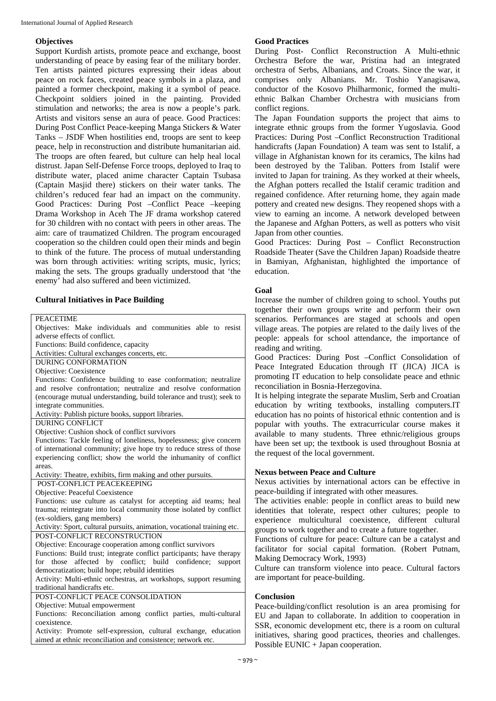# **Objectives**

Support Kurdish artists, promote peace and exchange, boost understanding of peace by easing fear of the military border. Ten artists painted pictures expressing their ideas about peace on rock faces, created peace symbols in a plaza, and painted a former checkpoint, making it a symbol of peace. Checkpoint soldiers joined in the painting. Provided stimulation and networks; the area is now a people's park. Artists and visitors sense an aura of peace. Good Practices: During Post Conflict Peace-keeping Manga Stickers & Water Tanks – JSDF When hostilities end, troops are sent to keep peace, help in reconstruction and distribute humanitarian aid. The troops are often feared, but culture can help heal local distrust. Japan Self-Defense Force troops, deployed to Iraq to distribute water, placed anime character Captain Tsubasa (Captain Masjid there) stickers on their water tanks. The children's reduced fear had an impact on the community. Good Practices: During Post –Conflict Peace –keeping Drama Workshop in Aceh The JF drama workshop catered for 30 children with no contact with peers in other areas. The aim: care of traumatized Children. The program encouraged cooperation so the children could open their minds and begin to think of the future. The process of mutual understanding was born through activities: writing scripts, music, lyrics; making the sets. The groups gradually understood that 'the enemy' had also suffered and been victimized.

# **Cultural Initiatives in Pace Building**

**PEACETIME** 

| Objectives: Make individuals and communities able to resist             |  |  |  |  |
|-------------------------------------------------------------------------|--|--|--|--|
| adverse effects of conflict.                                            |  |  |  |  |
| Functions: Build confidence, capacity                                   |  |  |  |  |
| Activities: Cultural exchanges concerts, etc.                           |  |  |  |  |
| <b>DURING CONFORMATION</b>                                              |  |  |  |  |
| Objective: Coexistence                                                  |  |  |  |  |
| Functions: Confidence building to ease conformation; neutralize         |  |  |  |  |
| and resolve confrontation; neutralize and resolve conformation          |  |  |  |  |
| (encourage mutual understanding, build tolerance and trust); seek to    |  |  |  |  |
| integrate communities.                                                  |  |  |  |  |
| Activity: Publish picture books, support libraries.                     |  |  |  |  |
| DURING CONFLICT                                                         |  |  |  |  |
| Objective: Cushion shock of conflict survivors                          |  |  |  |  |
| Functions: Tackle feeling of loneliness, hopelessness; give concern     |  |  |  |  |
| of international community; give hope try to reduce stress of those     |  |  |  |  |
| experiencing conflict; show the world the inhumanity of conflict        |  |  |  |  |
| areas.                                                                  |  |  |  |  |
| Activity: Theatre, exhibits, firm making and other pursuits.            |  |  |  |  |
| POST-CONFLICT PEACEKEEPING                                              |  |  |  |  |
| Objective: Peaceful Coexistence                                         |  |  |  |  |
| Functions: use culture as catalyst for accepting aid teams; heal        |  |  |  |  |
| trauma; reintegrate into local community those isolated by conflict     |  |  |  |  |
| (ex-soldiers, gang members)                                             |  |  |  |  |
| Activity: Sport, cultural pursuits, animation, vocational training etc. |  |  |  |  |
| POST-CONFLICT RECONSTRUCTION                                            |  |  |  |  |
| Objective: Encourage cooperation among conflict survivors               |  |  |  |  |
| Functions: Build trust; integrate conflict participants; have therapy   |  |  |  |  |
| affected by conflict; build confidence;<br>support<br>for<br>those      |  |  |  |  |
| democratization; build hope; rebuild identities                         |  |  |  |  |
| Activity: Multi-ethnic orchestras, art workshops, support resuming      |  |  |  |  |
| traditional handicrafts etc.                                            |  |  |  |  |
| POST-CONFLICT PEACE CONSOLIDATION                                       |  |  |  |  |
| Objective: Mutual empowerment                                           |  |  |  |  |
| Functions: Reconciliation among conflict parties, multi-cultural        |  |  |  |  |
| coexistence.                                                            |  |  |  |  |
| Activity: Promote self-expression, cultural exchange, education         |  |  |  |  |
| aimed at ethnic reconciliation and consistence; network etc.            |  |  |  |  |

# **Good Practices**

During Post- Conflict Reconstruction A Multi-ethnic Orchestra Before the war, Pristina had an integrated orchestra of Serbs, Albanians, and Croats. Since the war, it comprises only Albanians. Mr. Toshio Yanagisawa, conductor of the Kosovo Philharmonic, formed the multiethnic Balkan Chamber Orchestra with musicians from conflict regions.

The Japan Foundation supports the project that aims to integrate ethnic groups from the former Yugoslavia. Good Practices: During Post –Conflict Reconstruction Traditional handicrafts (Japan Foundation) A team was sent to Istalif, a village in Afghanistan known for its ceramics, The kilns had been destroyed by the Taliban. Potters from Istalif were invited to Japan for training. As they worked at their wheels, the Afghan potters recalled the Istalif ceramic tradition and regained confidence. After returning home, they again made pottery and created new designs. They reopened shops with a view to earning an income. A network developed between the Japanese and Afghan Potters, as well as potters who visit Japan from other counties.

Good Practices: During Post – Conflict Reconstruction Roadside Theater (Save the Children Japan) Roadside theatre in Bamiyan, Afghanistan, highlighted the importance of education.

## **Goal**

Increase the number of children going to school. Youths put together their own groups write and perform their own scenarios. Performances are staged at schools and open village areas. The potpies are related to the daily lives of the people: appeals for school attendance, the importance of reading and writing.

Good Practices: During Post –Conflict Consolidation of Peace Integrated Education through IT (JICA) JICA is promoting IT education to help consolidate peace and ethnic reconciliation in Bosnia-Herzegovina.

It is helping integrate the separate Muslim, Serb and Croatian education by writing textbooks, installing computers.IT education has no points of historical ethnic contention and is popular with youths. The extracurricular course makes it available to many students. Three ethnic/religious groups have been set up; the textbook is used throughout Bosnia at the request of the local government.

# **Nexus between Peace and Culture**

Nexus activities by international actors can be effective in peace-building if integrated with other measures.

The activities enable: people in conflict areas to build new identities that tolerate, respect other cultures; people to experience multicultural coexistence, different cultural groups to work together and to create a future together.

Functions of culture for peace: Culture can be a catalyst and facilitator for social capital formation. (Robert Putnam, Making Democracy Work, 1993)

Culture can transform violence into peace. Cultural factors are important for peace-building.

### **Conclusion**

Peace-building/conflict resolution is an area promising for EU and Japan to collaborate. In addition to cooperation in SSR, economic development etc, there is a room on cultural initiatives, sharing good practices, theories and challenges. Possible EUNIC + Japan cooperation.